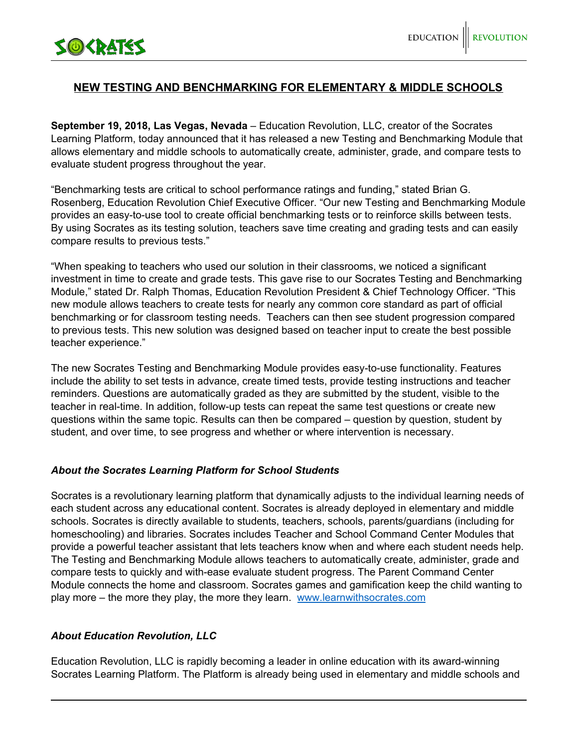

## **NEW TESTING AND BENCHMARKING FOR ELEMENTARY & MIDDLE SCHOOLS**

**September 19, 2018, Las Vegas, Nevada** – Education Revolution, LLC, creator of the Socrates Learning Platform, today announced that it has released a new Testing and Benchmarking Module that allows elementary and middle schools to automatically create, administer, grade, and compare tests to evaluate student progress throughout the year.

"Benchmarking tests are critical to school performance ratings and funding," stated Brian G. Rosenberg, Education Revolution Chief Executive Officer. "Our new Testing and Benchmarking Module provides an easy-to-use tool to create official benchmarking tests or to reinforce skills between tests. By using Socrates as its testing solution, teachers save time creating and grading tests and can easily compare results to previous tests."

"When speaking to teachers who used our solution in their classrooms, we noticed a significant investment in time to create and grade tests. This gave rise to our Socrates Testing and Benchmarking Module," stated Dr. Ralph Thomas, Education Revolution President & Chief Technology Officer. "This new module allows teachers to create tests for nearly any common core standard as part of official benchmarking or for classroom testing needs. Teachers can then see student progression compared to previous tests. This new solution was designed based on teacher input to create the best possible teacher experience."

The new Socrates Testing and Benchmarking Module provides easy-to-use functionality. Features include the ability to set tests in advance, create timed tests, provide testing instructions and teacher reminders. Questions are automatically graded as they are submitted by the student, visible to the teacher in real-time. In addition, follow-up tests can repeat the same test questions or create new questions within the same topic. Results can then be compared – question by question, student by student, and over time, to see progress and whether or where intervention is necessary.

## *About the Socrates Learning Platform for School Students*

Socrates is a revolutionary learning platform that dynamically adjusts to the individual learning needs of each student across any educational content. Socrates is already deployed in elementary and middle schools. Socrates is directly available to students, teachers, schools, parents/guardians (including for homeschooling) and libraries. Socrates includes Teacher and School Command Center Modules that provide a powerful teacher assistant that lets teachers know when and where each student needs help. The Testing and Benchmarking Module allows teachers to automatically create, administer, grade and compare tests to quickly and with-ease evaluate student progress. The Parent Command Center Module connects the home and classroom. Socrates games and gamification keep the child wanting to play more – the more they play, the more they learn. [www.learnwithsocrates.com](http://www.learnwithscorates.com/)

## *About Education Revolution, LLC*

Education Revolution, LLC is rapidly becoming a leader in online education with its award-winning Socrates Learning Platform. The Platform is already being used in elementary and middle schools and